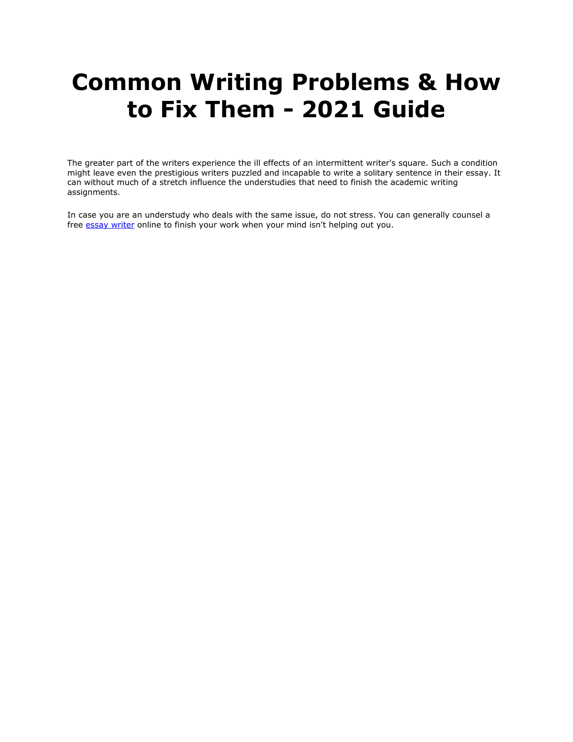# **Common Writing Problems & How to Fix Them - 2021 Guide**

The greater part of the writers experience the ill effects of an intermittent writer's square. Such a condition might leave even the prestigious writers puzzled and incapable to write a solitary sentence in their essay. It can without much of a stretch influence the understudies that need to finish the academic writing assignments.

In case you are an understudy who deals with the same issue, do not stress. You can generally counsel a free [essay writer](https://www.freeessaywriter.net/) online to finish your work when your mind isn't helping out you.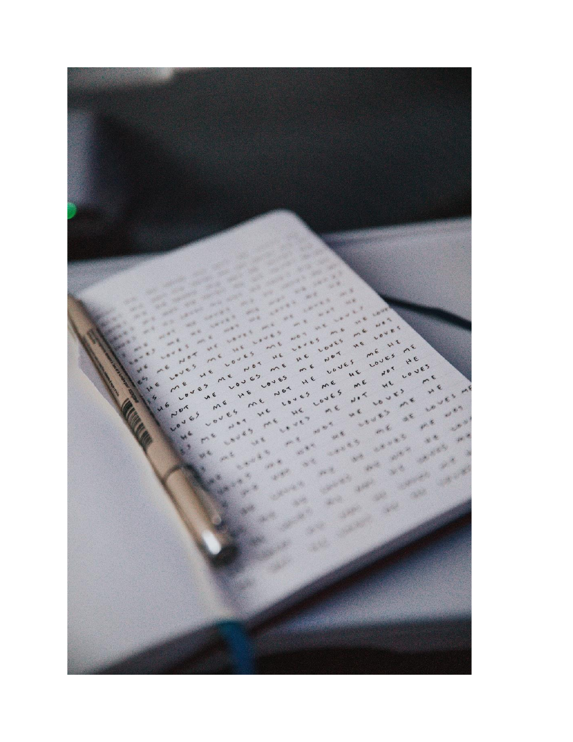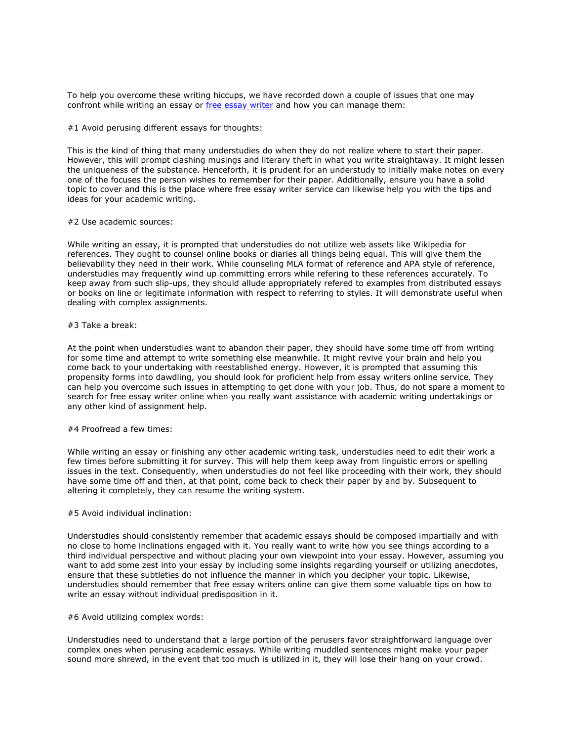To help you overcome these writing hiccups, we have recorded down a couple of issues that one may confront while writing an essay or [free essay writer](https://www.freeessaywriter.net/) and how you can manage them:

#1 Avoid perusing different essays for thoughts:

This is the kind of thing that many understudies do when they do not realize where to start their paper. However, this will prompt clashing musings and literary theft in what you write straightaway. It might lessen the uniqueness of the substance. Henceforth, it is prudent for an understudy to initially make notes on every one of the focuses the person wishes to remember for their paper. Additionally, ensure you have a solid topic to cover and this is the place where free essay writer service can likewise help you with the tips and ideas for your academic writing.

### #2 Use academic sources:

While writing an essay, it is prompted that understudies do not utilize web assets like Wikipedia for references. They ought to counsel online books or diaries all things being equal. This will give them the believability they need in their work. While counseling MLA format of reference and APA style of reference, understudies may frequently wind up committing errors while refering to these references accurately. To keep away from such slip-ups, they should allude appropriately refered to examples from distributed essays or books on line or legitimate information with respect to referring to styles. It will demonstrate useful when dealing with complex assignments.

## #3 Take a break:

At the point when understudies want to abandon their paper, they should have some time off from writing for some time and attempt to write something else meanwhile. It might revive your brain and help you come back to your undertaking with reestablished energy. However, it is prompted that assuming this propensity forms into dawdling, you should look for proficient help from essay writers online service. They can help you overcome such issues in attempting to get done with your job. Thus, do not spare a moment to search for free essay writer online when you really want assistance with academic writing undertakings or any other kind of assignment help.

### #4 Proofread a few times:

While writing an essay or finishing any other academic writing task, understudies need to edit their work a few times before submitting it for survey. This will help them keep away from linguistic errors or spelling issues in the text. Consequently, when understudies do not feel like proceeding with their work, they should have some time off and then, at that point, come back to check their paper by and by. Subsequent to altering it completely, they can resume the writing system.

### #5 Avoid individual inclination:

Understudies should consistently remember that academic essays should be composed impartially and with no close to home inclinations engaged with it. You really want to write how you see things according to a third individual perspective and without placing your own viewpoint into your essay. However, assuming you want to add some zest into your essay by including some insights regarding yourself or utilizing anecdotes, ensure that these subtleties do not influence the manner in which you decipher your topic. Likewise, understudies should remember that free essay writers online can give them some valuable tips on how to write an essay without individual predisposition in it.

## #6 Avoid utilizing complex words:

Understudies need to understand that a large portion of the perusers favor straightforward language over complex ones when perusing academic essays. While writing muddled sentences might make your paper sound more shrewd, in the event that too much is utilized in it, they will lose their hang on your crowd.